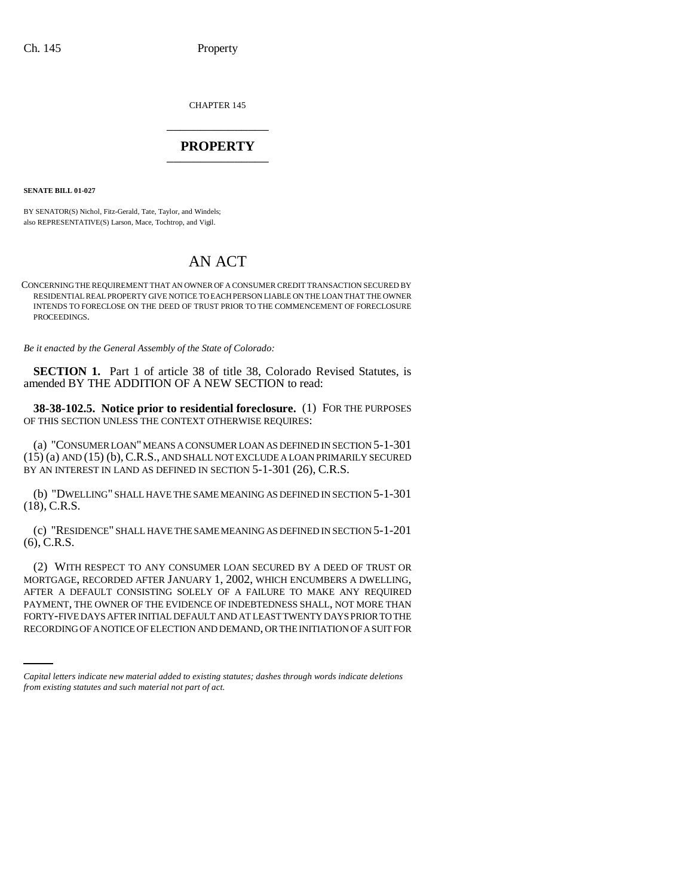CHAPTER 145 \_\_\_\_\_\_\_\_\_\_\_\_\_\_\_

## **PROPERTY** \_\_\_\_\_\_\_\_\_\_\_\_\_\_\_

**SENATE BILL 01-027**

BY SENATOR(S) Nichol, Fitz-Gerald, Tate, Taylor, and Windels; also REPRESENTATIVE(S) Larson, Mace, Tochtrop, and Vigil.

## AN ACT

CONCERNING THE REQUIREMENT THAT AN OWNER OF A CONSUMER CREDIT TRANSACTION SECURED BY RESIDENTIAL REAL PROPERTY GIVE NOTICE TO EACH PERSON LIABLE ON THE LOAN THAT THE OWNER INTENDS TO FORECLOSE ON THE DEED OF TRUST PRIOR TO THE COMMENCEMENT OF FORECLOSURE PROCEEDINGS.

*Be it enacted by the General Assembly of the State of Colorado:*

**SECTION 1.** Part 1 of article 38 of title 38, Colorado Revised Statutes, is amended BY THE ADDITION OF A NEW SECTION to read:

**38-38-102.5. Notice prior to residential foreclosure.** (1) FOR THE PURPOSES OF THIS SECTION UNLESS THE CONTEXT OTHERWISE REQUIRES:

(a) "CONSUMER LOAN" MEANS A CONSUMER LOAN AS DEFINED IN SECTION 5-1-301 (15) (a) AND (15) (b),C.R.S., AND SHALL NOT EXCLUDE A LOAN PRIMARILY SECURED BY AN INTEREST IN LAND AS DEFINED IN SECTION 5-1-301 (26), C.R.S.

(b) "DWELLING" SHALL HAVE THE SAME MEANING AS DEFINED IN SECTION 5-1-301 (18), C.R.S.

(c) "RESIDENCE" SHALL HAVE THE SAME MEANING AS DEFINED IN SECTION 5-1-201 (6), C.R.S.

PAYMENT, THE OWNER OF THE EVIDENCE OF INDEBTEDNESS SHALL, NOT MORE THAN (2) WITH RESPECT TO ANY CONSUMER LOAN SECURED BY A DEED OF TRUST OR MORTGAGE, RECORDED AFTER JANUARY 1, 2002, WHICH ENCUMBERS A DWELLING, AFTER A DEFAULT CONSISTING SOLELY OF A FAILURE TO MAKE ANY REQUIRED FORTY-FIVE DAYS AFTER INITIAL DEFAULT AND AT LEAST TWENTY DAYS PRIOR TO THE RECORDING OF A NOTICE OF ELECTION AND DEMAND, OR THE INITIATION OF A SUIT FOR

*Capital letters indicate new material added to existing statutes; dashes through words indicate deletions from existing statutes and such material not part of act.*